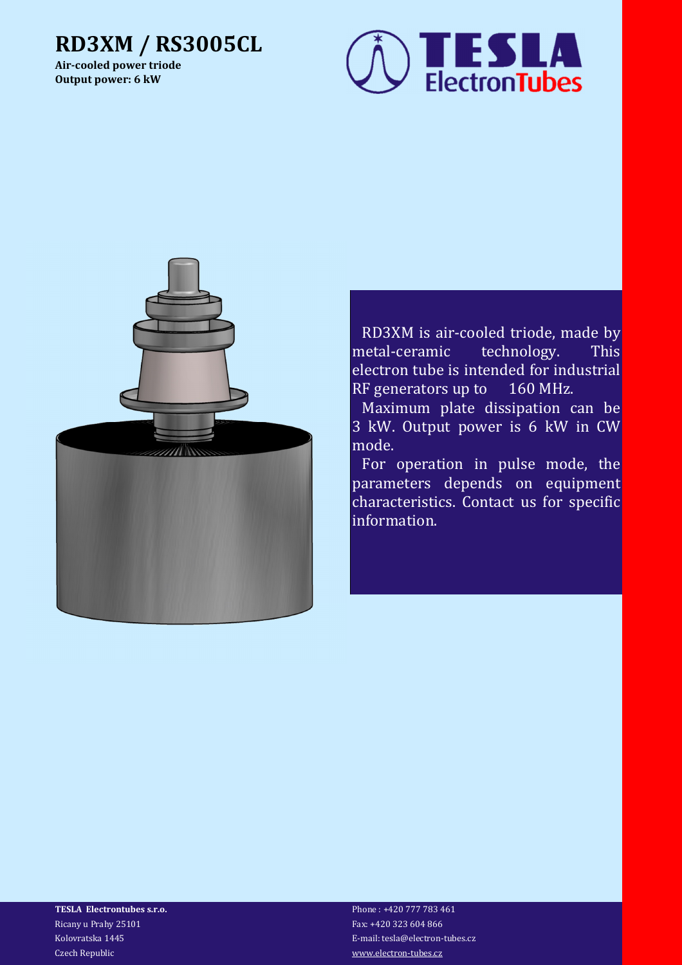## **RD3XM / RS3005CL**

**Air-cooled power triode Output power: 6 kW**





RD3XM is air-cooled triode, made by metal-ceramic technology. This electron tube is intended for industrial RF generators up to 160 MHz.

Maximum plate dissipation can be 3 kW. Output power is 6 kW in CW mode.

For operation in pulse mode, the parameters depends on equipment characteristics. Contact us for specific information.

**TESLA Electrontubes s.r.o.** Phone : +420 777 783 461 Ricany u Prahy 25101 Fax: +420 323 604 866 Czech Republic www.electron-tubes.cz

Kolovratska 1445 E-mail: tesla@electron-tubes.cz